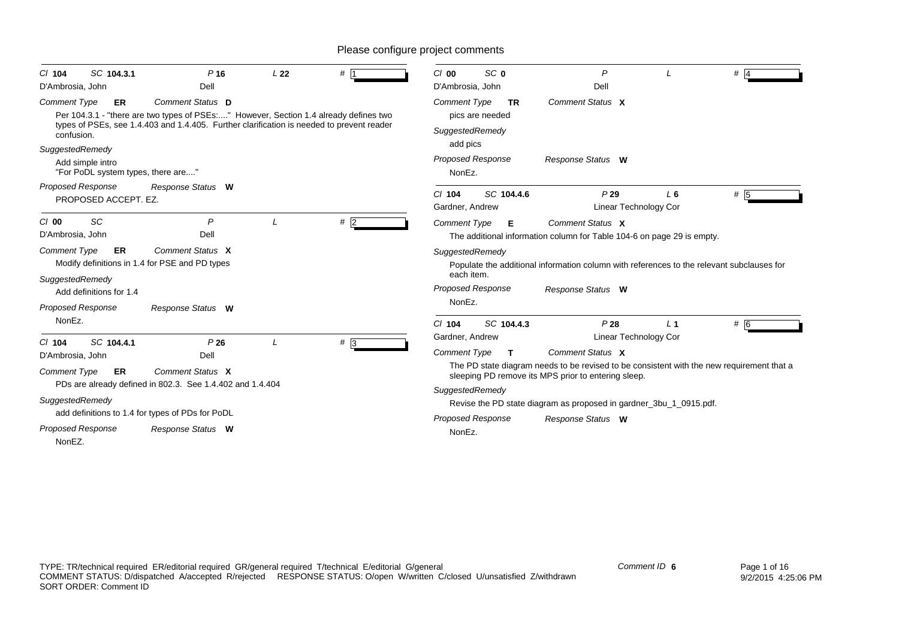| SC 104.3.1<br>$CI$ 104<br>D'Ambrosia, John                                | $P$ 16<br>Dell                                                                                                                                                                                         | L22 | # 1              | SC <sub>0</sub><br>$Cl$ 00<br>D'Ambrosia, John      | P<br>Dell                                                                                                                                        |       | $#$ 4 |
|---------------------------------------------------------------------------|--------------------------------------------------------------------------------------------------------------------------------------------------------------------------------------------------------|-----|------------------|-----------------------------------------------------|--------------------------------------------------------------------------------------------------------------------------------------------------|-------|-------|
| <b>Comment Type</b><br><b>ER</b>                                          | Comment Status D<br>Per 104.3.1 - "there are two types of PSEs:" However, Section 1.4 already defines two<br>types of PSEs, see 1.4.403 and 1.4.405. Further clarification is needed to prevent reader |     |                  | <b>Comment Type</b><br><b>TR</b><br>pics are needed | Comment Status X                                                                                                                                 |       |       |
| confusion.                                                                |                                                                                                                                                                                                        |     |                  | SuggestedRemedy<br>add pics                         |                                                                                                                                                  |       |       |
| SuggestedRemedy<br>Add simple intro<br>"For PoDL system types, there are" |                                                                                                                                                                                                        |     |                  | Proposed Response<br>NonEz.                         | Response Status W                                                                                                                                |       |       |
| <b>Proposed Response</b><br>PROPOSED ACCEPT. EZ.                          | Response Status W                                                                                                                                                                                      |     |                  | SC 104.4.6<br>$Cl$ 104<br>Gardner, Andrew           | P29<br>Linear Technology Cor                                                                                                                     | L6    | # 5   |
| $Cl$ 00<br>SC<br>D'Ambrosia, John                                         | P<br>Dell                                                                                                                                                                                              |     | #2               | <b>Comment Type</b><br>Е                            | Comment Status X<br>The additional information column for Table 104-6 on page 29 is empty.                                                       |       |       |
| <b>Comment Type</b><br><b>ER</b>                                          | Comment Status X<br>Modify definitions in 1.4 for PSE and PD types                                                                                                                                     |     |                  | SuggestedRemedy<br>each item.                       | Populate the additional information column with references to the relevant subclauses for                                                        |       |       |
| SuggestedRemedy<br>Add definitions for 1.4<br>Proposed Response           | Response Status W                                                                                                                                                                                      |     |                  | Proposed Response<br>NonEz.                         | Response Status W                                                                                                                                |       |       |
| NonEz.                                                                    |                                                                                                                                                                                                        |     |                  | SC 104.4.3<br>$Cl$ 104                              | P28                                                                                                                                              | $L_1$ | # 6   |
| SC 104.4.1<br>$Cl$ 104                                                    | P26                                                                                                                                                                                                    |     | $# \overline{3}$ | Gardner, Andrew                                     | <b>Linear Technology Cor</b>                                                                                                                     |       |       |
| D'Ambrosia, John                                                          | Dell                                                                                                                                                                                                   |     |                  | <b>Comment Type</b><br>$\mathbf{T}$                 | Comment Status X                                                                                                                                 |       |       |
| <b>Comment Type</b><br><b>ER</b>                                          | Comment Status X                                                                                                                                                                                       |     |                  |                                                     | The PD state diagram needs to be revised to be consistent with the new requirement that a<br>sleeping PD remove its MPS prior to entering sleep. |       |       |
|                                                                           | PDs are already defined in 802.3. See 1.4.402 and 1.4.404                                                                                                                                              |     |                  | SuggestedRemedy                                     |                                                                                                                                                  |       |       |
| SuggestedRemedy                                                           |                                                                                                                                                                                                        |     |                  |                                                     | Revise the PD state diagram as proposed in gardner_3bu_1_0915.pdf.                                                                               |       |       |
|                                                                           | add definitions to 1.4 for types of PDs for PoDL                                                                                                                                                       |     |                  | <b>Proposed Response</b>                            | Response Status W                                                                                                                                |       |       |
| <b>Proposed Response</b><br>NonEZ.                                        | Response Status W                                                                                                                                                                                      |     |                  | NonEz.                                              |                                                                                                                                                  |       |       |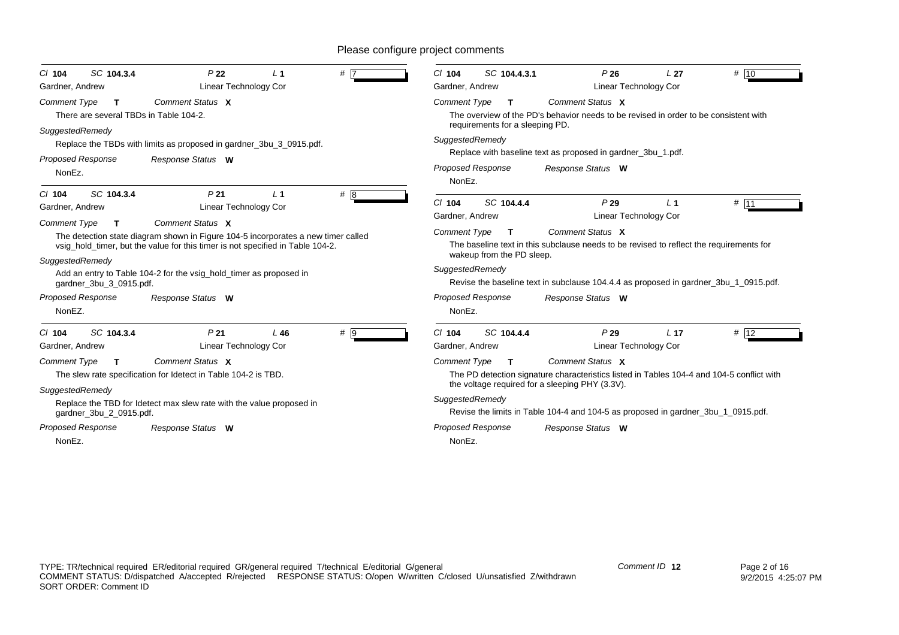| SC 104.3.4<br>$Cl$ 104                                                            | P <sub>22</sub>                                                                                                                                                                                                                                               | L <sub>1</sub> | # 7              | SC 104.4.3.1<br>$Cl$ 104                                                 | P26                                                                                                                                                                                                 | L <sub>27</sub> | # 10   |
|-----------------------------------------------------------------------------------|---------------------------------------------------------------------------------------------------------------------------------------------------------------------------------------------------------------------------------------------------------------|----------------|------------------|--------------------------------------------------------------------------|-----------------------------------------------------------------------------------------------------------------------------------------------------------------------------------------------------|-----------------|--------|
| Gardner, Andrew                                                                   | Linear Technology Cor                                                                                                                                                                                                                                         |                |                  | Gardner, Andrew                                                          | Linear Technology Cor                                                                                                                                                                               |                 |        |
| <b>Comment Type</b><br>$\mathbf{T}$<br>There are several TBDs in Table 104-2.     | Comment Status X                                                                                                                                                                                                                                              |                |                  | <b>Comment Type</b><br>T<br>requirements for a sleeping PD.              | Comment Status X<br>The overview of the PD's behavior needs to be revised in order to be consistent with                                                                                            |                 |        |
| SuggestedRemedy                                                                   | Replace the TBDs with limits as proposed in gardner_3bu_3_0915.pdf.                                                                                                                                                                                           |                |                  | SuggestedRemedy                                                          |                                                                                                                                                                                                     |                 |        |
| <b>Proposed Response</b><br>NonEz.                                                | Response Status W                                                                                                                                                                                                                                             |                |                  | <b>Proposed Response</b><br>NonEz.                                       | Replace with baseline text as proposed in gardner_3bu_1.pdf.<br>Response Status W                                                                                                                   |                 |        |
| SC 104.3.4<br>$Cl$ 104<br>Gardner, Andrew                                         | P <sub>21</sub><br>Linear Technology Cor                                                                                                                                                                                                                      | $\perp$ 1      | # $\overline{8}$ | $Cl$ 104<br>SC 104.4.4<br>Gardner, Andrew                                | P29<br>Linear Technology Cor                                                                                                                                                                        | L <sub>1</sub>  | # 11   |
| <b>Comment Type</b><br>$\mathbf{T}$<br>SuggestedRemedy<br>gardner_3bu_3_0915.pdf. | Comment Status X<br>The detection state diagram shown in Figure 104-5 incorporates a new timer called<br>vsig_hold_timer, but the value for this timer is not specified in Table 104-2.<br>Add an entry to Table 104-2 for the vsig_hold_timer as proposed in |                |                  | <b>Comment Type</b><br>т<br>wakeup from the PD sleep.<br>SuggestedRemedy | Comment Status X<br>The baseline text in this subclause needs to be revised to reflect the requirements for<br>Revise the baseline text in subclause 104.4.4 as proposed in gardner_3bu_1_0915.pdf. |                 |        |
| Proposed Response<br>NonEZ.                                                       | Response Status W                                                                                                                                                                                                                                             |                |                  | <b>Proposed Response</b><br>NonEz.                                       | Response Status W                                                                                                                                                                                   |                 |        |
| SC 104.3.4<br>$Cl$ 104<br>Gardner, Andrew                                         | P <sub>21</sub><br>Linear Technology Cor                                                                                                                                                                                                                      | L46            | $# \overline{9}$ | SC 104.4.4<br>$Cl$ 104<br>Gardner, Andrew                                | P29<br>Linear Technology Cor                                                                                                                                                                        | L <sub>17</sub> | $#$ 12 |
| <b>Comment Type</b><br>$\mathbf{T}$                                               | Comment Status X<br>The slew rate specification for Idetect in Table 104-2 is TBD.                                                                                                                                                                            |                |                  | <b>Comment Type</b><br>T.                                                | Comment Status X<br>The PD detection signature characteristics listed in Tables 104-4 and 104-5 conflict with<br>the voltage required for a sleeping PHY (3.3V).                                    |                 |        |
| SuggestedRemedy<br>gardner_3bu_2_0915.pdf.                                        | Replace the TBD for Idetect max slew rate with the value proposed in                                                                                                                                                                                          |                |                  | SuggestedRemedy                                                          | Revise the limits in Table 104-4 and 104-5 as proposed in gardner 3bu 1 0915.pdf.                                                                                                                   |                 |        |
| Proposed Response                                                                 | Response Status W                                                                                                                                                                                                                                             |                |                  | <b>Proposed Response</b>                                                 | Response Status W                                                                                                                                                                                   |                 |        |
| NonEz.                                                                            |                                                                                                                                                                                                                                                               |                |                  | NonEz.                                                                   |                                                                                                                                                                                                     |                 |        |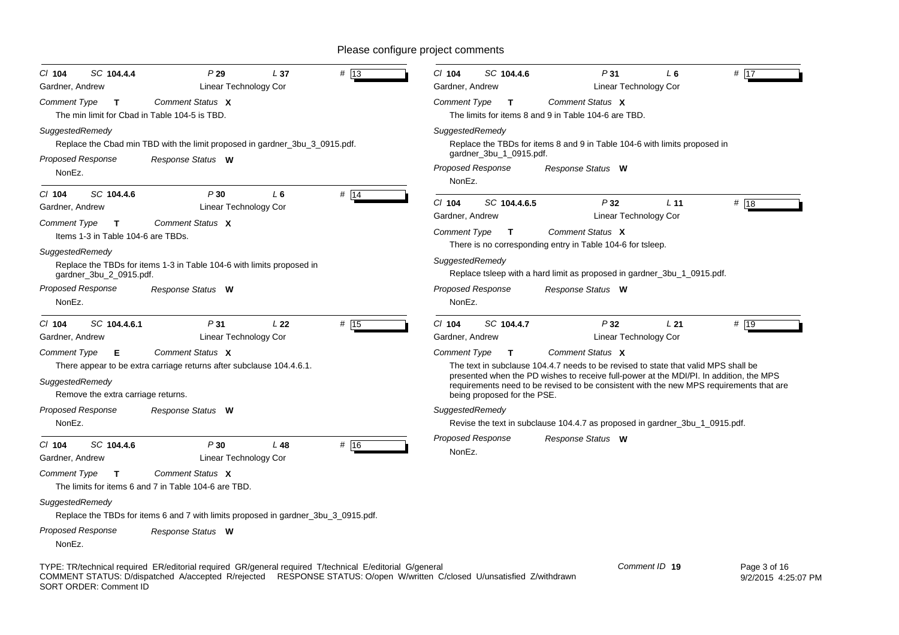| SC 104.4.4<br>$CI$ 104<br>Gardner, Andrew                                                                                                    | P29<br>Linear Technology Cor                                                                                                                                                                                                       | L <sub>37</sub> | $#$ 13 | C/ 104<br>Gardner, Andrew                                                      | SC 104.4.6                                  |                                                                                                                                                           | P31<br>Linear Technology Cor | L <sub>6</sub>  | # 17                                                                                                                                                                              |
|----------------------------------------------------------------------------------------------------------------------------------------------|------------------------------------------------------------------------------------------------------------------------------------------------------------------------------------------------------------------------------------|-----------------|--------|--------------------------------------------------------------------------------|---------------------------------------------|-----------------------------------------------------------------------------------------------------------------------------------------------------------|------------------------------|-----------------|-----------------------------------------------------------------------------------------------------------------------------------------------------------------------------------|
| <b>Comment Type</b><br>$\mathbf{T}$<br>The min limit for Cbad in Table 104-5 is TBD.                                                         | Comment Status X                                                                                                                                                                                                                   |                 |        | <b>Comment Type</b>                                                            | $\mathbf{T}$                                | Comment Status X<br>The limits for items 8 and 9 in Table 104-6 are TBD.                                                                                  |                              |                 |                                                                                                                                                                                   |
| SuggestedRemedy<br>Proposed Response<br>NonEz.                                                                                               | Replace the Cbad min TBD with the limit proposed in gardner_3bu_3_0915.pdf.<br>Response Status W                                                                                                                                   |                 |        | SuggestedRemedy<br><b>Proposed Response</b><br>NonEz.                          | gardner_3bu_1_0915.pdf.                     | Replace the TBDs for items 8 and 9 in Table 104-6 with limits proposed in<br>Response Status W                                                            |                              |                 |                                                                                                                                                                                   |
| SC 104.4.6<br>$Cl$ 104<br>Gardner, Andrew                                                                                                    | P30<br>Linear Technology Cor                                                                                                                                                                                                       | L <sub>6</sub>  | # 14   | $Cl$ 104                                                                       | SC 104.4.6.5                                |                                                                                                                                                           | P32                          | L <sub>11</sub> | # 18                                                                                                                                                                              |
| Comment Type<br>$\mathsf{T}$<br>Items 1-3 in Table 104-6 are TBDs.<br>SuggestedRemedy<br>gardner_3bu_2_0915.pdf.<br><b>Proposed Response</b> | Comment Status X<br>Replace the TBDs for items 1-3 in Table 104-6 with limits proposed in                                                                                                                                          |                 |        | Gardner, Andrew<br><b>Comment Type</b><br>SuggestedRemedy<br>Proposed Response | $\mathbf{T}$                                | Comment Status X<br>There is no corresponding entry in Table 104-6 for tsleep.<br>Replace tsleep with a hard limit as proposed in gardner_3bu_1_0915.pdf. | Linear Technology Cor        |                 |                                                                                                                                                                                   |
| NonEz.                                                                                                                                       | Response Status W                                                                                                                                                                                                                  |                 |        | NonEz.                                                                         |                                             | Response Status W                                                                                                                                         |                              |                 |                                                                                                                                                                                   |
| SC 104.4.6.1<br>$CI$ 104<br>Gardner, Andrew                                                                                                  | P31<br>Linear Technology Cor                                                                                                                                                                                                       | L <sub>22</sub> | # 15   | $Cl$ 104<br>Gardner, Andrew                                                    | SC 104.4.7                                  |                                                                                                                                                           | P32<br>Linear Technology Cor | L <sub>21</sub> | # 19                                                                                                                                                                              |
| Comment Type<br>Е<br>SuggestedRemedy<br>Remove the extra carriage returns.                                                                   | Comment Status X<br>There appear to be extra carriage returns after subclause 104.4.6.1.                                                                                                                                           |                 |        | Comment Type                                                                   | $\mathbf{T}$<br>being proposed for the PSE. | Comment Status X<br>The text in subclause 104.4.7 needs to be revised to state that valid MPS shall be                                                    |                              |                 | presented when the PD wishes to receive full-power at the MDI/PI. In addition, the MPS<br>requirements need to be revised to be consistent with the new MPS requirements that are |
| Proposed Response<br>NonEz.                                                                                                                  | Response Status W                                                                                                                                                                                                                  |                 |        | SuggestedRemedy                                                                |                                             | Revise the text in subclause 104.4.7 as proposed in gardner_3bu_1_0915.pdf.                                                                               |                              |                 |                                                                                                                                                                                   |
| $Cl$ 104<br>SC 104.4.6<br>Gardner, Andrew                                                                                                    | P30<br>Linear Technology Cor                                                                                                                                                                                                       | L48             | # 16   | Proposed Response<br>NonEz.                                                    |                                             | Response Status W                                                                                                                                         |                              |                 |                                                                                                                                                                                   |
| Comment Type<br>$\mathbf{T}$                                                                                                                 | Comment Status X<br>The limits for items 6 and 7 in Table 104-6 are TBD.                                                                                                                                                           |                 |        |                                                                                |                                             |                                                                                                                                                           |                              |                 |                                                                                                                                                                                   |
| SuggestedRemedy                                                                                                                              | Replace the TBDs for items 6 and 7 with limits proposed in gardner_3bu_3_0915.pdf.                                                                                                                                                 |                 |        |                                                                                |                                             |                                                                                                                                                           |                              |                 |                                                                                                                                                                                   |
| <b>Proposed Response</b><br>NonEz.                                                                                                           | Response Status W                                                                                                                                                                                                                  |                 |        |                                                                                |                                             |                                                                                                                                                           |                              |                 |                                                                                                                                                                                   |
| SORT ORDER: Comment ID                                                                                                                       | TYPE: TR/technical required ER/editorial required GR/general required T/technical E/editorial G/general<br>COMMENT STATUS: D/dispatched A/accepted R/rejected RESPONSE STATUS: O/open W/written C/closed U/unsatisfied Z/withdrawn |                 |        |                                                                                |                                             |                                                                                                                                                           |                              | Comment ID 19   | Page 3 of 16<br>9/2/2015 4:25:07                                                                                                                                                  |

9/2/2015 4:25:07 PM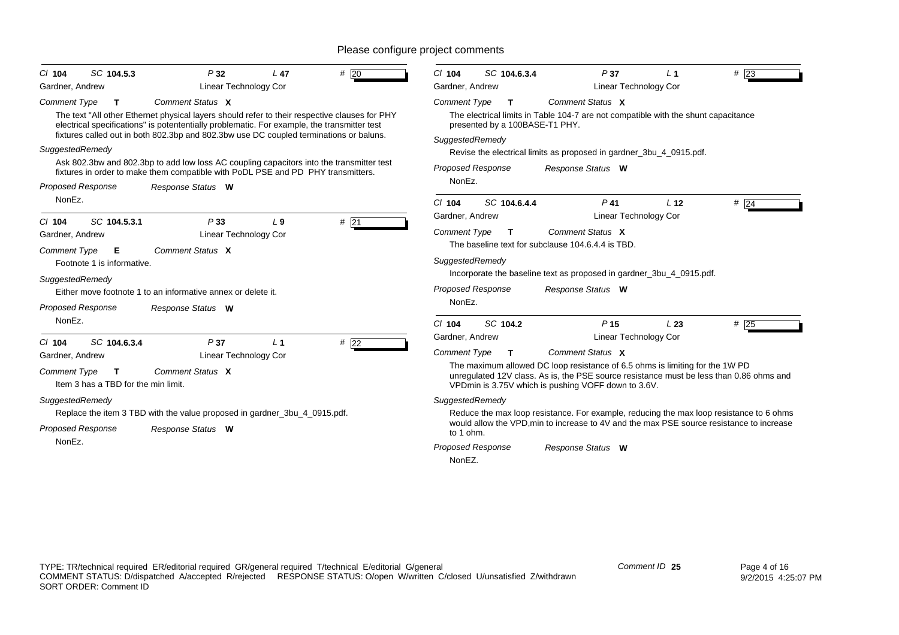| # $\overline{20}$<br>SC 104.5.3<br>P32<br>L <sub>47</sub><br>$CI$ 104<br>Gardner, Andrew<br>Linear Technology Cor                                                                                                                                                                                                                                                                                                                                                                                                                                                                                    | SC 104.6.3.4<br>P <sub>37</sub><br>$#$ 23<br>$CI$ 104<br>L <sub>1</sub><br><b>Linear Technology Cor</b><br>Gardner, Andrew                                                                                                                                                                                                                                                                                                                                                                                                                                                                                                                                         |
|------------------------------------------------------------------------------------------------------------------------------------------------------------------------------------------------------------------------------------------------------------------------------------------------------------------------------------------------------------------------------------------------------------------------------------------------------------------------------------------------------------------------------------------------------------------------------------------------------|--------------------------------------------------------------------------------------------------------------------------------------------------------------------------------------------------------------------------------------------------------------------------------------------------------------------------------------------------------------------------------------------------------------------------------------------------------------------------------------------------------------------------------------------------------------------------------------------------------------------------------------------------------------------|
| Comment Status X<br><b>Comment Type</b><br>т<br>The text "All other Ethernet physical layers should refer to their respective clauses for PHY<br>electrical specifications" is potententially problematic. For example, the transmitter test<br>fixtures called out in both 802.3bp and 802.3bw use DC coupled terminations or baluns.<br>SuggestedRemedy<br>Ask 802.3bw and 802.3bp to add low loss AC coupling capacitors into the transmitter test<br>fixtures in order to make them compatible with PoDL PSE and PD PHY transmitters.<br><b>Proposed Response</b><br>Response Status W<br>NonEz. | Comment Status X<br><b>Comment Type</b><br>T.<br>The electrical limits in Table 104-7 are not compatible with the shunt capacitance<br>presented by a 100BASE-T1 PHY.<br>SuggestedRemedy<br>Revise the electrical limits as proposed in gardner_3bu_4_0915.pdf.<br>Proposed Response<br>Response Status W<br>NonEz.                                                                                                                                                                                                                                                                                                                                                |
| #21<br>SC 104.5.3.1<br>P33<br>$Cl$ 104<br>L <sub>9</sub><br><b>Linear Technology Cor</b><br>Gardner, Andrew<br>Comment Status X<br><b>Comment Type</b><br>Е<br>Footnote 1 is informative.<br>SuggestedRemedy<br>Either move footnote 1 to an informative annex or delete it.<br><b>Proposed Response</b><br>Response Status W                                                                                                                                                                                                                                                                        | $P$ 41<br>SC 104.6.4.4<br>L <sub>12</sub><br>$Cl$ 104<br>$#$ 24<br>Gardner, Andrew<br>Linear Technology Cor<br>Comment Status X<br><b>Comment Type</b><br>$\mathbf{T}$<br>The baseline text for subclause 104.6.4.4 is TBD.<br>SuggestedRemedy<br>Incorporate the baseline text as proposed in gardner_3bu_4_0915.pdf.<br><b>Proposed Response</b><br>Response Status W<br>NonEz.                                                                                                                                                                                                                                                                                  |
| NonEz.<br># $\overline{22}$<br>SC 104.6.3.4<br>P37<br>$Cl$ 104<br>L <sub>1</sub><br>Linear Technology Cor<br>Gardner, Andrew<br>Comment Status X<br><b>Comment Type</b><br>T.<br>Item 3 has a TBD for the min limit.<br>SuggestedRemedy<br>Replace the item 3 TBD with the value proposed in gardner_3bu_4_0915.pdf.<br><b>Proposed Response</b><br>Response Status W<br>NonEz.                                                                                                                                                                                                                      | SC 104.2<br>P <sub>15</sub><br>$#$ 25<br>$Cl$ 104<br>L23<br>Gardner, Andrew<br>Linear Technology Cor<br>Comment Type<br>Comment Status X<br>T.<br>The maximum allowed DC loop resistance of 6.5 ohms is limiting for the 1W PD<br>unregulated 12V class. As is, the PSE source resistance must be less than 0.86 ohms and<br>VPDmin is 3.75V which is pushing VOFF down to 3.6V.<br>SuggestedRemedy<br>Reduce the max loop resistance. For example, reducing the max loop resistance to 6 ohms<br>would allow the VPD, min to increase to 4V and the max PSE source resistance to increase<br>to 1 ohm.<br><b>Proposed Response</b><br>Response Status W<br>NonEZ. |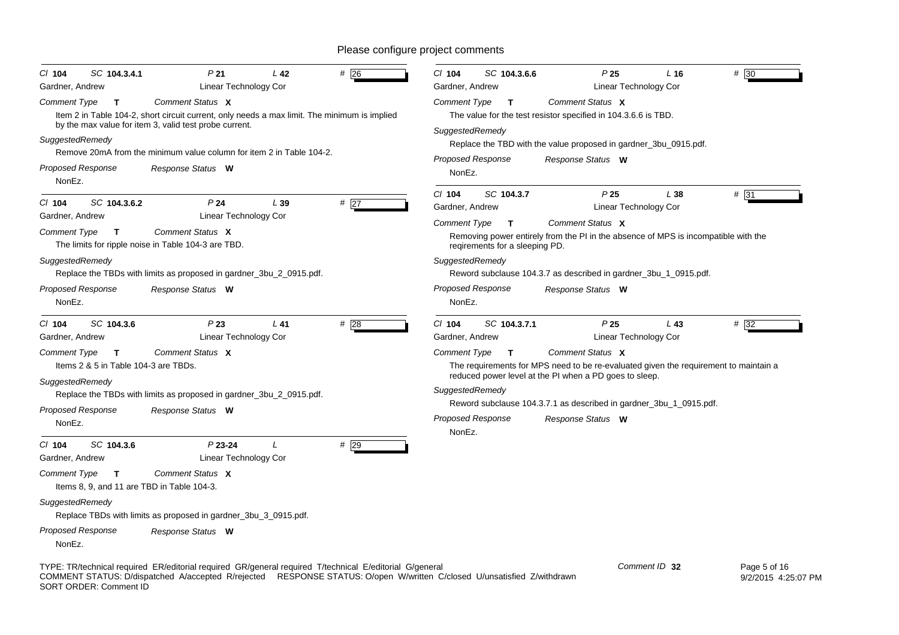| $CI$ 104<br>SC 104.3.4.1                                                                       | P <sub>21</sub>                                                                                                                                                                                                                | L <sub>42</sub> | $#$ 26 | $CI$ 104<br>SC 104.3.6.6                                                                                 |                                                                            | P <sub>25</sub><br>$L$ 16<br>Linear Technology Cor                                                                                 | # 30                                                                                       |
|------------------------------------------------------------------------------------------------|--------------------------------------------------------------------------------------------------------------------------------------------------------------------------------------------------------------------------------|-----------------|--------|----------------------------------------------------------------------------------------------------------|----------------------------------------------------------------------------|------------------------------------------------------------------------------------------------------------------------------------|--------------------------------------------------------------------------------------------|
| Gardner, Andrew<br><b>Comment Type</b><br>$\mathbf{T}$                                         | Linear Technology Cor<br>Comment Status X                                                                                                                                                                                      |                 |        | Gardner, Andrew<br>Comment Type<br>$\mathbf{T}$                                                          | Comment Status X                                                           |                                                                                                                                    |                                                                                            |
| SuggestedRemedy                                                                                | Item 2 in Table 104-2, short circuit current, only needs a max limit. The minimum is implied<br>by the max value for item 3, valid test probe current.<br>Remove 20mA from the minimum value column for item 2 in Table 104-2. |                 |        | SuggestedRemedy                                                                                          |                                                                            | The value for the test resistor specified in 104.3.6.6 is TBD.<br>Replace the TBD with the value proposed in gardner_3bu_0915.pdf. |                                                                                            |
| <b>Proposed Response</b><br>NonEz.                                                             | Response Status W                                                                                                                                                                                                              |                 |        | <b>Proposed Response</b><br>NonEz.                                                                       | Response Status W                                                          |                                                                                                                                    |                                                                                            |
| $Cl$ 104<br>SC 104.3.6.2<br>Gardner, Andrew<br><b>Comment Type</b><br>$\mathbf{T}$             | P <sub>24</sub><br>Linear Technology Cor<br>Comment Status X<br>The limits for ripple noise in Table 104-3 are TBD.                                                                                                            | L39             | #27    | $Cl$ 104<br>SC 104.3.7<br>Gardner, Andrew<br><b>Comment Type</b><br>T.<br>regirements for a sleeping PD. | Comment Status X                                                           | P <sub>25</sub><br>L 38<br>Linear Technology Cor                                                                                   | # 31<br>Removing power entirely from the PI in the absence of MPS is incompatible with the |
| SuggestedRemedy<br>Proposed Response<br>NonEz.                                                 | Replace the TBDs with limits as proposed in gardner_3bu_2_0915.pdf.<br>Response Status W                                                                                                                                       |                 |        | SuggestedRemedy<br><b>Proposed Response</b><br>NonEz.                                                    | Response Status W                                                          | Reword subclause 104.3.7 as described in gardner_3bu_1_0915.pdf.                                                                   |                                                                                            |
| $CI$ 104<br>SC 104.3.6<br>Gardner, Andrew                                                      | P23<br>Linear Technology Cor                                                                                                                                                                                                   | L41             | #28    | C/ 104<br>SC 104.3.7.1<br>Gardner, Andrew                                                                |                                                                            | P <sub>25</sub><br>$L$ 43<br>Linear Technology Cor                                                                                 | $# \overline{32}$                                                                          |
| <b>Comment Type</b><br>$\mathbf{T}$<br>Items 2 & 5 in Table 104-3 are TBDs.<br>SuggestedRemedy | Comment Status X                                                                                                                                                                                                               |                 |        | <b>Comment Type</b><br>$\mathbf{T}$                                                                      | Comment Status X<br>reduced power level at the PI when a PD goes to sleep. |                                                                                                                                    | The requirements for MPS need to be re-evaluated given the requirement to maintain a       |
|                                                                                                | Replace the TBDs with limits as proposed in gardner_3bu_2_0915.pdf.                                                                                                                                                            |                 |        | SuggestedRemedy                                                                                          |                                                                            | Reword subclause 104.3.7.1 as described in gardner_3bu_1_0915.pdf.                                                                 |                                                                                            |
| Proposed Response<br>NonEz.                                                                    | Response Status W                                                                                                                                                                                                              |                 |        | <b>Proposed Response</b><br>NonEz.                                                                       | Response Status W                                                          |                                                                                                                                    |                                                                                            |
| $CI$ 104<br>SC 104.3.6<br>Gardner, Andrew                                                      | $P$ 23-24<br>Linear Technology Cor                                                                                                                                                                                             | $\prime$        | $#$ 29 |                                                                                                          |                                                                            |                                                                                                                                    |                                                                                            |
| <b>Comment Type</b><br>$\mathbf{T}$                                                            | Comment Status X<br>Items 8, 9, and 11 are TBD in Table 104-3.                                                                                                                                                                 |                 |        |                                                                                                          |                                                                            |                                                                                                                                    |                                                                                            |
| SuggestedRemedy                                                                                | Replace TBDs with limits as proposed in gardner_3bu_3_0915.pdf.                                                                                                                                                                |                 |        |                                                                                                          |                                                                            |                                                                                                                                    |                                                                                            |
| Proposed Response<br>NonEz.                                                                    | Response Status W                                                                                                                                                                                                              |                 |        |                                                                                                          |                                                                            |                                                                                                                                    |                                                                                            |
|                                                                                                | TYPE: TR/technical required ER/editorial required GR/general required T/technical E/editorial G/general                                                                                                                        |                 |        |                                                                                                          |                                                                            | Comment ID 32                                                                                                                      | Page 5 of 16                                                                               |

COMMENT STATUS: D/dispatched A/accepted R/rejected RESPONSE STATUS: O/open W/written C/closed U/unsatisfied Z/withdrawn SORT ORDER: Comment ID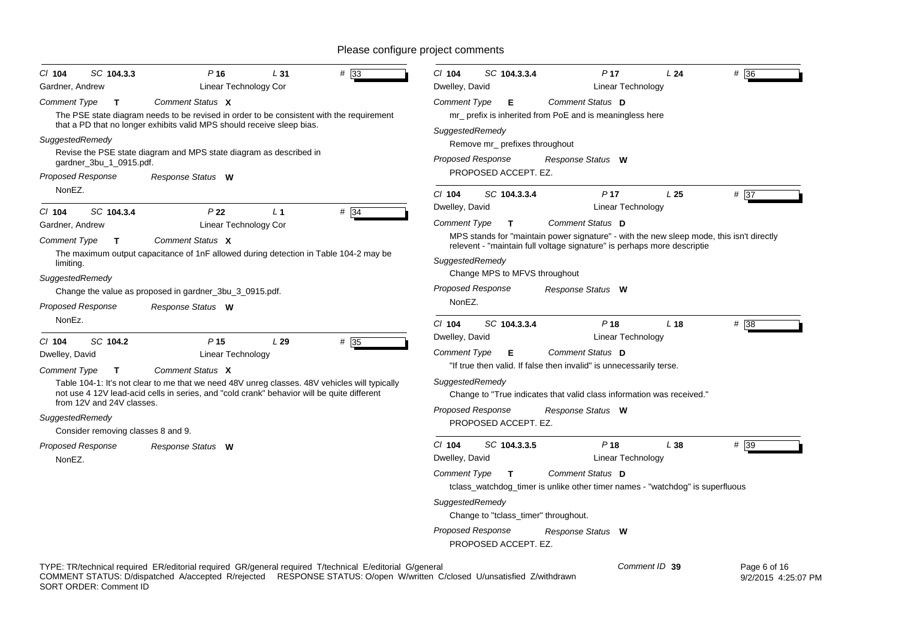| CI 104<br>SC 104.3.3                | $P$ 16                                                                                                                                                                                      | L31            | $#$ 33 | CI 104                                                                                   | SC 104.3.3.4                                                                       |                   | P <sub>17</sub>                      | L24                                                                                      | #36  |
|-------------------------------------|---------------------------------------------------------------------------------------------------------------------------------------------------------------------------------------------|----------------|--------|------------------------------------------------------------------------------------------|------------------------------------------------------------------------------------|-------------------|--------------------------------------|------------------------------------------------------------------------------------------|------|
| Gardner, Andrew                     | Linear Technology Cor                                                                                                                                                                       |                |        | Dwelley, David                                                                           |                                                                                    |                   | Linear Technology                    |                                                                                          |      |
| <b>Comment Type</b><br>$\mathbf{T}$ | Comment Status X<br>The PSE state diagram needs to be revised in order to be consistent with the requirement<br>that a PD that no longer exhibits valid MPS should receive sleep bias.      |                |        | <b>Comment Type</b>                                                                      | Е<br>mr_ prefix is inherited from PoE and is meaningless here                      | Comment Status D  |                                      |                                                                                          |      |
| SuggestedRemedy                     |                                                                                                                                                                                             |                |        | SuggestedRemedy                                                                          | Remove mr_ prefixes throughout                                                     |                   |                                      |                                                                                          |      |
| gardner_3bu_1_0915.pdf.             | Revise the PSE state diagram and MPS state diagram as described in                                                                                                                          |                |        | Proposed Response                                                                        |                                                                                    | Response Status W |                                      |                                                                                          |      |
| Proposed Response                   | Response Status W                                                                                                                                                                           |                |        |                                                                                          | PROPOSED ACCEPT. EZ.                                                               |                   |                                      |                                                                                          |      |
| NonEZ.                              |                                                                                                                                                                                             |                |        | $CI$ 104                                                                                 | SC 104.3.3.4                                                                       |                   | P <sub>17</sub>                      | L25                                                                                      | # 37 |
| SC 104.3.4<br>$CI$ 104              | P <sub>22</sub>                                                                                                                                                                             | L <sub>1</sub> | #34    | Dwelley, David                                                                           |                                                                                    |                   | Linear Technology                    |                                                                                          |      |
| Gardner, Andrew                     | Linear Technology Cor                                                                                                                                                                       |                |        | <b>Comment Type</b>                                                                      | $\mathbf{T}$                                                                       | Comment Status D  |                                      |                                                                                          |      |
| <b>Comment Type</b><br>T            | Comment Status X                                                                                                                                                                            |                |        | relevent - "maintain full voltage signature" is perhaps more descriptie                  |                                                                                    |                   |                                      | MPS stands for "maintain power signature" - with the new sleep mode, this isn't directly |      |
| limiting.                           | The maximum output capacitance of 1nF allowed during detection in Table 104-2 may be                                                                                                        |                |        | SuggestedRemedy                                                                          |                                                                                    |                   |                                      |                                                                                          |      |
| SuggestedRemedy                     |                                                                                                                                                                                             |                |        |                                                                                          | Change MPS to MFVS throughout                                                      |                   |                                      |                                                                                          |      |
|                                     | Change the value as proposed in gardner_3bu_3_0915.pdf.                                                                                                                                     |                |        | <b>Proposed Response</b>                                                                 |                                                                                    | Response Status W |                                      |                                                                                          |      |
| Proposed Response                   | Response Status W                                                                                                                                                                           |                |        | NonEZ.                                                                                   |                                                                                    |                   |                                      |                                                                                          |      |
| NonEz.                              |                                                                                                                                                                                             |                |        | $Cl$ 104                                                                                 | SC 104.3.3.4                                                                       |                   | P <sub>18</sub>                      | L <sub>18</sub>                                                                          | #38  |
| SC 104.2<br>$Cl$ 104                | P <sub>15</sub>                                                                                                                                                                             | L29            | # 35   | Dwelley, David                                                                           |                                                                                    |                   | Linear Technology                    |                                                                                          |      |
| Dwelley, David                      | Linear Technology                                                                                                                                                                           |                |        | <b>Comment Type</b>                                                                      | Е                                                                                  | Comment Status D  |                                      |                                                                                          |      |
| <b>Comment Type</b><br>$\mathbf{T}$ | Comment Status X                                                                                                                                                                            |                |        |                                                                                          | "If true then valid. If false then invalid" is unnecessarily terse.                |                   |                                      |                                                                                          |      |
|                                     | Table 104-1: It's not clear to me that we need 48V unreg classes. 48V vehicles will typically<br>not use 4 12V lead-acid cells in series, and "cold crank" behavior will be quite different |                |        | SuggestedRemedy<br>Change to "True indicates that valid class information was received." |                                                                                    |                   |                                      |                                                                                          |      |
| from 12V and 24V classes.           |                                                                                                                                                                                             |                |        | Proposed Response                                                                        |                                                                                    |                   |                                      |                                                                                          |      |
| SuggestedRemedy                     |                                                                                                                                                                                             |                |        |                                                                                          | PROPOSED ACCEPT. EZ.                                                               | Response Status W |                                      |                                                                                          |      |
| Consider removing classes 8 and 9.  |                                                                                                                                                                                             |                |        |                                                                                          |                                                                                    |                   |                                      |                                                                                          |      |
| Proposed Response<br>NonEZ.         | Response Status W                                                                                                                                                                           |                |        | $CI$ 104<br>Dwelley, David                                                               | SC 104.3.3.5                                                                       |                   | P <sub>18</sub><br>Linear Technology | L38                                                                                      | # 39 |
|                                     |                                                                                                                                                                                             |                |        | Comment Type                                                                             | T<br>tclass_watchdog_timer is unlike other timer names - "watchdog" is superfluous | Comment Status D  |                                      |                                                                                          |      |
|                                     |                                                                                                                                                                                             |                |        | SuggestedRemedy                                                                          | Change to "tclass_timer" throughout.                                               |                   |                                      |                                                                                          |      |
|                                     |                                                                                                                                                                                             |                |        | Proposed Response                                                                        | PROPOSED ACCEPT. EZ.                                                               | Response Status W |                                      |                                                                                          |      |
|                                     |                                                                                                                                                                                             |                |        |                                                                                          |                                                                                    |                   |                                      |                                                                                          |      |

TYPE: TR/technical required ER/editorial required GR/general required T/technical E/editorial G/general COMMENT STATUS: D/dispatched A/accepted R/rejected RESPONSE STATUS: O/open W/written C/closed U/unsatisfied Z/withdrawn SORT ORDER: Comment ID *Comment ID* **39**

 Page 6 of 16 9/2/2015 4:25:07 PM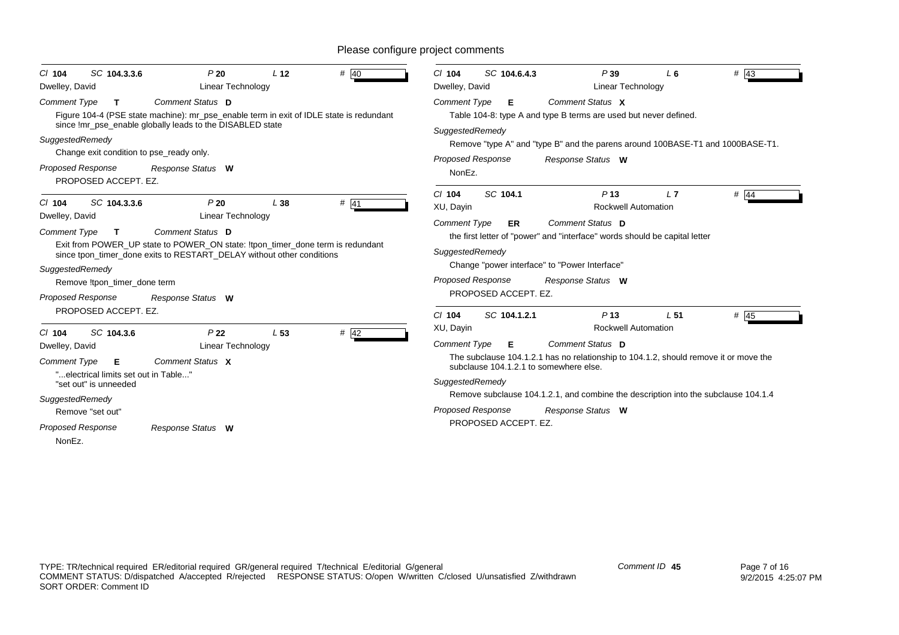| SC 104.3.3.6<br>$CI$ 104<br>Dwelley, David                                                                                                                                                                         | P20<br>Linear Technology                                                                                                                                                                             | L <sub>12</sub> | $#$ 40 | SC 104.6.4.3<br>$CI$ 104<br>Dwelley, David                                                                                                                                                                                                                                                                                           | P39<br>Linear Technology                                            | $L_6$           | $#$ 43  |
|--------------------------------------------------------------------------------------------------------------------------------------------------------------------------------------------------------------------|------------------------------------------------------------------------------------------------------------------------------------------------------------------------------------------------------|-----------------|--------|--------------------------------------------------------------------------------------------------------------------------------------------------------------------------------------------------------------------------------------------------------------------------------------------------------------------------------------|---------------------------------------------------------------------|-----------------|---------|
| <b>Comment Type</b><br>$\mathbf{T}$<br>SuggestedRemedy<br>Change exit condition to pse_ready only.<br>Proposed Response<br>PROPOSED ACCEPT. EZ.                                                                    | <b>Comment Status D</b><br>Figure 104-4 (PSE state machine): mr_pse_enable term in exit of IDLE state is redundant<br>since !mr pse enable globally leads to the DISABLED state<br>Response Status W |                 |        | <b>Comment Type</b><br>Е<br>Table 104-8: type A and type B terms are used but never defined.<br>SuggestedRemedy<br>Remove "type A" and "type B" and the parens around 100BASE-T1 and 1000BASE-T1.<br><b>Proposed Response</b><br>NonEz.                                                                                              | Comment Status X<br>Response Status W                               |                 |         |
| SC 104.3.3.6<br>$CI$ 104<br>Dwelley, David                                                                                                                                                                         | P20<br><b>Linear Technology</b>                                                                                                                                                                      | L38             | $#$ 41 | SC 104.1<br>$Cl$ 104<br>XU, Dayin                                                                                                                                                                                                                                                                                                    | P <sub>13</sub><br><b>Rockwell Automation</b>                       | L7              | # $ 44$ |
| <b>Comment Type</b><br>$\mathbf{T}$<br>SuggestedRemedy<br>Remove !tpon timer done term<br><b>Proposed Response</b>                                                                                                 | Comment Status D<br>Exit from POWER_UP state to POWER_ON state: !tpon_timer_done term is redundant<br>since tpon_timer_done exits to RESTART_DELAY without other conditions<br>Response Status W     |                 |        | <b>Comment Type</b><br>ER<br>the first letter of "power" and "interface" words should be capital letter<br>SuggestedRemedy<br>Change "power interface" to "Power Interface"<br>Proposed Response<br>PROPOSED ACCEPT. EZ.                                                                                                             | Comment Status D<br>Response Status W                               |                 |         |
| PROPOSED ACCEPT. EZ.                                                                                                                                                                                               |                                                                                                                                                                                                      |                 |        | SC 104.1.2.1<br>$Cl$ 104                                                                                                                                                                                                                                                                                                             | P <sub>13</sub>                                                     | L <sub>51</sub> | $#$ 45  |
| SC 104.3.6<br>$Cl$ 104<br>Dwelley, David<br><b>Comment Type</b><br>Е<br>"electrical limits set out in Table"<br>"set out" is unneeded<br>SuggestedRemedy<br>Remove "set out"<br><b>Proposed Response</b><br>NonEz. | P <sub>22</sub><br><b>Linear Technology</b><br>Comment Status X<br>Response Status W                                                                                                                 | L <sub>53</sub> | $#$ 42 | XU, Dayin<br><b>Comment Type</b><br>Е<br>The subclause 104.1.2.1 has no relationship to 104.1.2, should remove it or move the<br>subclause 104.1.2.1 to somewhere else.<br>SuggestedRemedy<br>Remove subclause 104.1.2.1, and combine the description into the subclause 104.1.4<br><b>Proposed Response</b><br>PROPOSED ACCEPT. EZ. | <b>Rockwell Automation</b><br>Comment Status D<br>Response Status W |                 |         |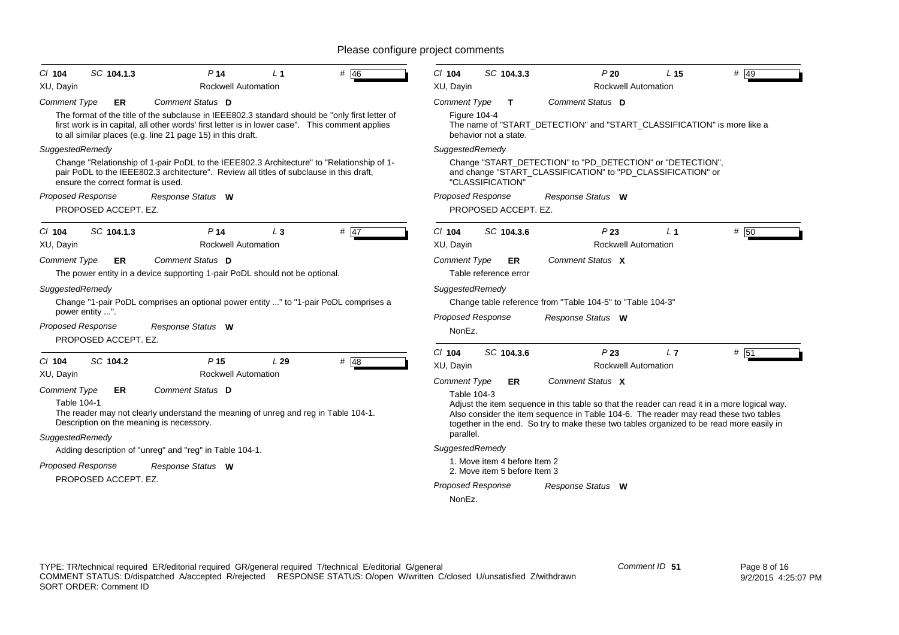| P <sub>14</sub><br>SC 104.1.3<br># 46<br>$CI$ 104<br>$L_1$                                                                                                                                                                                                       | $Cl$ 104<br>SC 104.3.3<br>P20<br>L <sub>15</sub><br># $ 49$                                                                                                                          |
|------------------------------------------------------------------------------------------------------------------------------------------------------------------------------------------------------------------------------------------------------------------|--------------------------------------------------------------------------------------------------------------------------------------------------------------------------------------|
| XU, Dayin<br><b>Rockwell Automation</b>                                                                                                                                                                                                                          | XU, Dayin<br><b>Rockwell Automation</b>                                                                                                                                              |
| Comment Status D<br><b>Comment Type</b><br>ER                                                                                                                                                                                                                    | Comment Status D<br><b>Comment Type</b><br>$\mathbf{T}$                                                                                                                              |
| The format of the title of the subclause in IEEE802.3 standard should be "only first letter of<br>first work is in capital, all other words' first letter is in lower case". This comment applies<br>to all similar places (e.g. line 21 page 15) in this draft. | <b>Figure 104-4</b><br>The name of "START_DETECTION" and "START_CLASSIFICATION" is more like a<br>behavior not a state.                                                              |
| SuggestedRemedy                                                                                                                                                                                                                                                  | SuggestedRemedy                                                                                                                                                                      |
| Change "Relationship of 1-pair PoDL to the IEEE802.3 Architecture" to "Relationship of 1-<br>pair PoDL to the IEEE802.3 architecture". Review all titles of subclause in this draft,<br>ensure the correct format is used.                                       | Change "START DETECTION" to "PD DETECTION" or "DETECTION",<br>and change "START_CLASSIFICATION" to "PD_CLASSIFICATION" or<br>"CLASSIFICATION"                                        |
| <b>Proposed Response</b><br>Response Status W                                                                                                                                                                                                                    | <b>Proposed Response</b><br>Response Status W                                                                                                                                        |
| PROPOSED ACCEPT. EZ.                                                                                                                                                                                                                                             | PROPOSED ACCEPT. EZ.                                                                                                                                                                 |
| $#$ 47<br>C/ 104<br>SC 104.1.3<br>P <sub>14</sub><br>$L_3$                                                                                                                                                                                                       | # 50<br>C/104<br>SC 104.3.6<br>P23<br>L <sub>1</sub>                                                                                                                                 |
| <b>Rockwell Automation</b><br>XU, Dayin                                                                                                                                                                                                                          | XU, Dayin<br><b>Rockwell Automation</b>                                                                                                                                              |
| Comment Status D<br><b>Comment Type</b><br><b>ER</b>                                                                                                                                                                                                             | <b>Comment Type</b><br>Comment Status X<br>ER                                                                                                                                        |
| The power entity in a device supporting 1-pair PoDL should not be optional.                                                                                                                                                                                      | Table reference error                                                                                                                                                                |
| SuggestedRemedy                                                                                                                                                                                                                                                  | SuggestedRemedy                                                                                                                                                                      |
| Change "1-pair PoDL comprises an optional power entity " to "1-pair PoDL comprises a                                                                                                                                                                             | Change table reference from "Table 104-5" to "Table 104-3"                                                                                                                           |
| power entity ".                                                                                                                                                                                                                                                  | Proposed Response<br>Response Status W                                                                                                                                               |
| Proposed Response<br>Response Status W<br>PROPOSED ACCEPT. EZ.                                                                                                                                                                                                   | NonEz.                                                                                                                                                                               |
|                                                                                                                                                                                                                                                                  | # 51<br>$Cl$ 104<br>SC 104.3.6<br>P <sub>23</sub><br>L7                                                                                                                              |
| # 48<br>SC 104.2<br>P <sub>15</sub><br>$Cl$ 104<br>L29                                                                                                                                                                                                           | XU, Dayin<br><b>Rockwell Automation</b>                                                                                                                                              |
| Rockwell Automation<br>XU, Dayin                                                                                                                                                                                                                                 | Comment Status X<br><b>Comment Type</b><br>ER                                                                                                                                        |
| Comment Status D<br><b>Comment Type</b><br>ER                                                                                                                                                                                                                    | Table 104-3                                                                                                                                                                          |
| <b>Table 104-1</b><br>The reader may not clearly understand the meaning of unreg and reg in Table 104-1.                                                                                                                                                         | Adjust the item sequence in this table so that the reader can read it in a more logical way.<br>Also consider the item sequence in Table 104-6. The reader may read these two tables |
| Description on the meaning is necessory.                                                                                                                                                                                                                         | together in the end. So try to make these two tables organized to be read more easily in                                                                                             |
| SuggestedRemedy                                                                                                                                                                                                                                                  | parallel.                                                                                                                                                                            |
| Adding description of "unreg" and "reg" in Table 104-1.                                                                                                                                                                                                          | SuggestedRemedy                                                                                                                                                                      |
| <b>Proposed Response</b><br>Response Status W                                                                                                                                                                                                                    | 1. Move item 4 before Item 2<br>2. Move item 5 before Item 3                                                                                                                         |
| PROPOSED ACCEPT. EZ.                                                                                                                                                                                                                                             | <b>Proposed Response</b><br>Response Status W                                                                                                                                        |
|                                                                                                                                                                                                                                                                  | NonEz.                                                                                                                                                                               |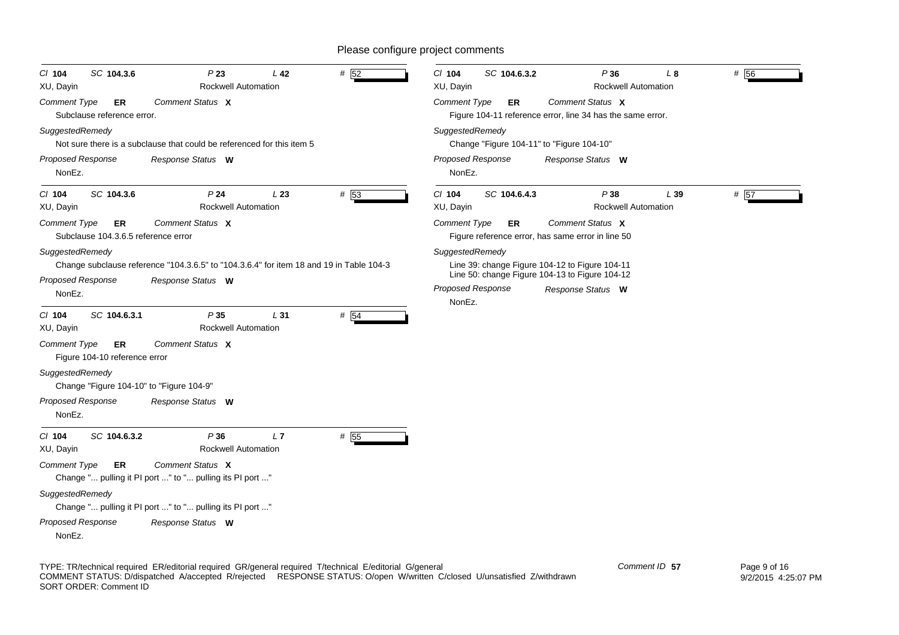| $CI$ 104<br>SC 104.3.6<br>XU, Dayin                              | P23<br><b>Rockwell Automation</b>                                                                            | L <sub>42</sub> | # $\overline{52}$ | $Cl$ 104<br>SC 104.6.3.2<br>XU, Dayin | P36<br><b>Rockwell Automation</b>                                                                                     | $L_{\alpha}$ | # 56 |
|------------------------------------------------------------------|--------------------------------------------------------------------------------------------------------------|-----------------|-------------------|---------------------------------------|-----------------------------------------------------------------------------------------------------------------------|--------------|------|
| Comment Type<br>ER<br>Subclause reference error.                 | Comment Status X                                                                                             |                 |                   | Comment Type<br>ER                    | Comment Status X<br>Figure 104-11 reference error, line 34 has the same error.                                        |              |      |
| SuggestedRemedy                                                  | Not sure there is a subclause that could be referenced for this item 5                                       |                 |                   | SuggestedRemedy                       | Change "Figure 104-11" to "Figure 104-10"                                                                             |              |      |
| <b>Proposed Response</b><br>NonEz.                               | Response Status W                                                                                            |                 |                   | <b>Proposed Response</b><br>NonEz.    | Response Status W                                                                                                     |              |      |
| $CI$ 104<br>SC 104.3.6<br>XU, Dayin                              | P <sub>24</sub><br><b>Rockwell Automation</b>                                                                | L23             | # 53              | $Cl$ 104<br>SC 104.6.4.3<br>XU, Dayin | P38<br><b>Rockwell Automation</b>                                                                                     | L 39         | # 57 |
| <b>Comment Type</b><br>ER<br>Subclause 104.3.6.5 reference error | Comment Status X                                                                                             |                 |                   | <b>Comment Type</b><br><b>ER</b>      | Comment Status X<br>Figure reference error, has same error in line 50                                                 |              |      |
| SuggestedRemedy<br><b>Proposed Response</b><br>NonEz.            | Change subclause reference "104.3.6.5" to "104.3.6.4" for item 18 and 19 in Table 104-3<br>Response Status W |                 |                   | SuggestedRemedy<br>Proposed Response  | Line 39: change Figure 104-12 to Figure 104-11<br>Line 50: change Figure 104-13 to Figure 104-12<br>Response Status W |              |      |
| SC 104.6.3.1<br>C/ 104<br>XU, Dayin                              | P35<br><b>Rockwell Automation</b>                                                                            | L31             | # 54              | NonEz.                                |                                                                                                                       |              |      |
| <b>Comment Type</b><br>ER<br>Figure 104-10 reference error       | Comment Status X                                                                                             |                 |                   |                                       |                                                                                                                       |              |      |
| SuggestedRemedy<br>Change "Figure 104-10" to "Figure 104-9"      |                                                                                                              |                 |                   |                                       |                                                                                                                       |              |      |
| <b>Proposed Response</b><br>NonEz.                               | Response Status W                                                                                            |                 |                   |                                       |                                                                                                                       |              |      |
| $CI$ 104<br>SC 104.6.3.2<br>XU, Dayin                            | P36<br><b>Rockwell Automation</b>                                                                            | L7              | # 55              |                                       |                                                                                                                       |              |      |
| <b>Comment Type</b><br>ER                                        | Comment Status X<br>Change " pulling it PI port " to " pulling its PI port "                                 |                 |                   |                                       |                                                                                                                       |              |      |
| SuggestedRemedy                                                  | Change " pulling it PI port " to " pulling its PI port "                                                     |                 |                   |                                       |                                                                                                                       |              |      |
| Proposed Response<br>NonEz.                                      | Response Status W                                                                                            |                 |                   |                                       |                                                                                                                       |              |      |

TYPE: TR/technical required ER/editorial required GR/general required T/technical E/editorial G/general COMMENT STATUS: D/dispatched A/accepted R/rejected RESPONSE STATUS: O/open W/written C/closed U/unsatisfied Z/withdrawn SORT ORDER: Comment ID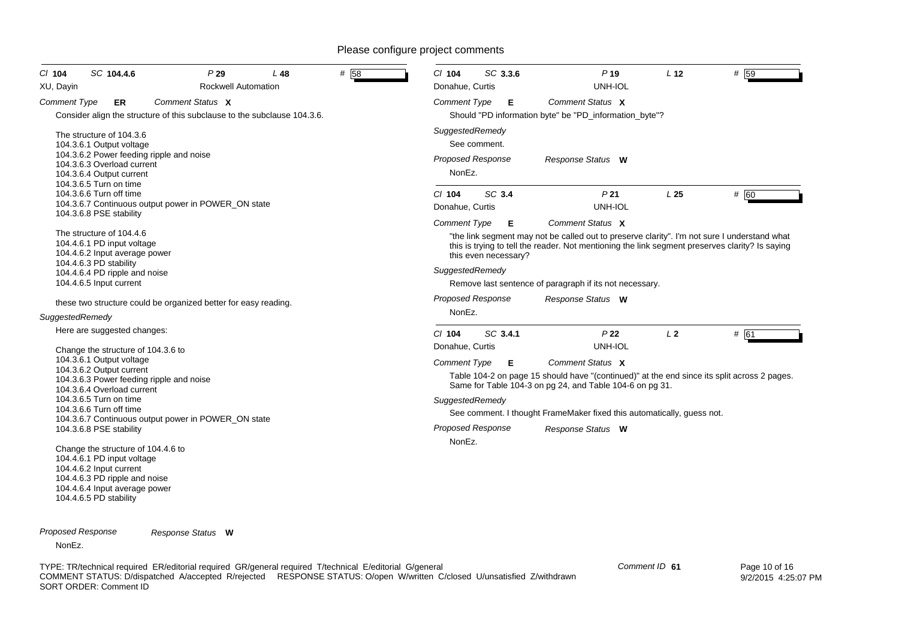| SC 104.4.6<br>$Cl$ 104<br>XU, Dayin                                                                                                                                                                                                                                                                                                                                                                                                                                                                    | P29<br>L 48<br><b>Rockwell Automation</b> | #158 | SC 3.3.6<br>$Cl$ 104<br>Donahue, Curtis                                           | P <sub>19</sub><br>UNH-IOL                                                                                                                                                                                                                                                     | L <sub>12</sub> | $#$ 59 |
|--------------------------------------------------------------------------------------------------------------------------------------------------------------------------------------------------------------------------------------------------------------------------------------------------------------------------------------------------------------------------------------------------------------------------------------------------------------------------------------------------------|-------------------------------------------|------|-----------------------------------------------------------------------------------|--------------------------------------------------------------------------------------------------------------------------------------------------------------------------------------------------------------------------------------------------------------------------------|-----------------|--------|
| <b>Comment Type</b><br>ER<br>Consider align the structure of this subclause to the subclause 104.3.6.                                                                                                                                                                                                                                                                                                                                                                                                  | Comment Status X                          |      | <b>Comment Type</b><br>Е                                                          | Comment Status X<br>Should "PD information byte" be "PD_information_byte"?                                                                                                                                                                                                     |                 |        |
| The structure of 104.3.6<br>104.3.6.1 Output voltage<br>104.3.6.2 Power feeding ripple and noise<br>104.3.6.3 Overload current<br>104.3.6.4 Output current<br>104.3.6.5 Turn on time                                                                                                                                                                                                                                                                                                                   |                                           |      | SuggestedRemedy<br>See comment.<br><b>Proposed Response</b><br>NonEz.             | Response Status W                                                                                                                                                                                                                                                              |                 |        |
| 104.3.6.6 Turn off time<br>104.3.6.7 Continuous output power in POWER_ON state                                                                                                                                                                                                                                                                                                                                                                                                                         |                                           |      | SC 3.4<br>$Cl$ 104<br>Donahue, Curtis                                             | P <sub>21</sub><br>UNH-IOL                                                                                                                                                                                                                                                     | L <sub>25</sub> | # 60   |
| 104.3.6.8 PSE stability<br>The structure of 104.4.6<br>104.4.6.1 PD input voltage<br>104.4.6.2 Input average power<br>104.4.6.3 PD stability<br>104.4.6.4 PD ripple and noise<br>104.4.6.5 Input current                                                                                                                                                                                                                                                                                               |                                           |      | <b>Comment Type</b><br>Е<br>this even necessary?<br>SuggestedRemedy               | Comment Status X<br>"the link segment may not be called out to preserve clarity". I'm not sure I understand what<br>this is trying to tell the reader. Not mentioning the link segment preserves clarity? Is saying<br>Remove last sentence of paragraph if its not necessary. |                 |        |
| these two structure could be organized better for easy reading.<br>SuggestedRemedy                                                                                                                                                                                                                                                                                                                                                                                                                     |                                           |      | <b>Proposed Response</b><br>NonEz.                                                | Response Status W                                                                                                                                                                                                                                                              |                 |        |
| Here are suggested changes:                                                                                                                                                                                                                                                                                                                                                                                                                                                                            |                                           |      | SC 3.4.1<br>$Cl$ 104<br>Donahue, Curtis                                           | P <sub>22</sub><br>UNH-IOL                                                                                                                                                                                                                                                     | L <sub>2</sub>  | # 61   |
| Change the structure of 104.3.6 to<br>104.3.6.1 Output voltage<br>104.3.6.2 Output current<br>104.3.6.3 Power feeding ripple and noise<br>104.3.6.4 Overload current<br>104.3.6.5 Turn on time<br>104.3.6.6 Turn off time<br>104.3.6.7 Continuous output power in POWER_ON state<br>104.3.6.8 PSE stability<br>Change the structure of 104.4.6 to<br>104.4.6.1 PD input voltage<br>104.4.6.2 Input current<br>104.4.6.3 PD ripple and noise<br>104.4.6.4 Input average power<br>104.4.6.5 PD stability |                                           |      | <b>Comment Type</b><br>Е<br>SuggestedRemedy<br><b>Proposed Response</b><br>NonEz. | Comment Status X<br>Table 104-2 on page 15 should have "(continued)" at the end since its split across 2 pages.<br>Same for Table 104-3 on pg 24, and Table 104-6 on pg 31.<br>See comment. I thought FrameMaker fixed this automatically, guess not.<br>Response Status W     |                 |        |

*Proposed Response Response Status* **W**

NonEz.

TYPE: TR/technical required ER/editorial required GR/general required T/technical E/editorial G/general COMMENT STATUS: D/dispatched A/accepted R/rejected RESPONSE STATUS: O/open W/written C/closed U/unsatisfied Z/withdrawn SORT ORDER: Comment ID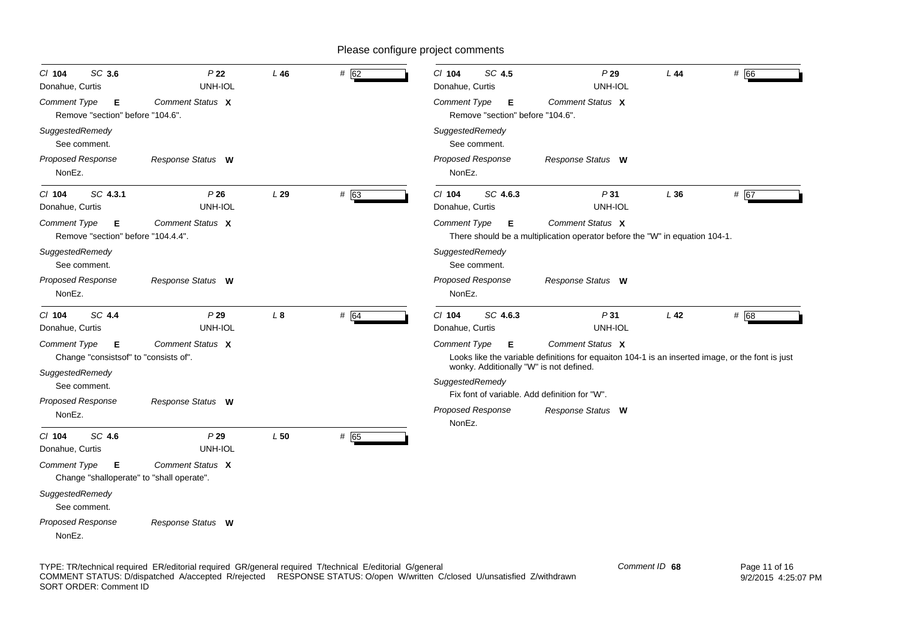| SC 3.6<br>$CI$ 104<br>Donahue, Curtis                             | P <sub>22</sub><br>UNH-IOL | L46       | # 62 | $Cl$ 104<br>SC 4.5<br>Donahue, Curtis                      | P29<br>UNH-IOL                                                                                                       | L44             | # 66 |
|-------------------------------------------------------------------|----------------------------|-----------|------|------------------------------------------------------------|----------------------------------------------------------------------------------------------------------------------|-----------------|------|
| Comment Type<br>Е<br>Remove "section" before "104.6".             | Comment Status X           |           |      | Comment Type<br>Е<br>Remove "section" before "104.6".      | Comment Status X                                                                                                     |                 |      |
| SuggestedRemedy<br>See comment.                                   |                            |           |      | SuggestedRemedy<br>See comment.                            |                                                                                                                      |                 |      |
| <b>Proposed Response</b><br>NonEz.                                | Response Status W          |           |      | <b>Proposed Response</b><br>NonEz.                         | Response Status W                                                                                                    |                 |      |
| SC 4.3.1<br>$CI$ 104<br>Donahue, Curtis                           | P26<br>UNH-IOL             | L29       | # 63 | $Cl$ 104<br>SC 4.6.3<br>Donahue, Curtis                    | P31<br>UNH-IOL                                                                                                       | L36             | # 67 |
| Comment Type<br>Е<br>Remove "section" before "104.4.4".           | Comment Status X           |           |      | Comment Type<br>Е                                          | Comment Status X<br>There should be a multiplication operator before the "W" in equation 104-1.                      |                 |      |
| SuggestedRemedy<br>See comment.                                   |                            |           |      | SuggestedRemedy<br>See comment.                            |                                                                                                                      |                 |      |
| <b>Proposed Response</b><br>NonEz.                                | Response Status W          |           |      | <b>Proposed Response</b><br>NonEz.                         | Response Status W                                                                                                    |                 |      |
| SC 4.4<br>C/ 104<br>Donahue, Curtis                               | P29<br>UNH-IOL             | $\perp$ 8 | # 64 | C/ 104<br>SC 4.6.3<br>Donahue, Curtis                      | P31<br>UNH-IOL                                                                                                       | L <sub>42</sub> | # 68 |
| <b>Comment Type</b><br>Е<br>Change "consistsof" to "consists of". | Comment Status X           |           |      | <b>Comment Type</b><br>Е                                   | Comment Status X<br>Looks like the variable definitions for equaiton 104-1 is an inserted image, or the font is just |                 |      |
| SuggestedRemedy<br>See comment.                                   |                            |           |      | wonky. Additionally "W" is not defined.<br>SuggestedRemedy |                                                                                                                      |                 |      |
| <b>Proposed Response</b>                                          | Response Status W          |           |      | Fix font of variable. Add definition for "W".              |                                                                                                                      |                 |      |
| NonEz.                                                            |                            |           |      | <b>Proposed Response</b><br>NonEz.                         | Response Status W                                                                                                    |                 |      |
| SC 4.6<br>$CI$ 104<br>Donahue, Curtis                             | P29<br>UNH-IOL             | L50       | # 65 |                                                            |                                                                                                                      |                 |      |
| Comment Type<br>Е<br>Change "shalloperate" to "shall operate".    | Comment Status X           |           |      |                                                            |                                                                                                                      |                 |      |
| SuggestedRemedy<br>See comment.                                   |                            |           |      |                                                            |                                                                                                                      |                 |      |
| <b>Proposed Response</b><br>NonEz.                                | Response Status W          |           |      |                                                            |                                                                                                                      |                 |      |

TYPE: TR/technical required ER/editorial required GR/general required T/technical E/editorial G/general COMMENT STATUS: D/dispatched A/accepted R/rejected RESPONSE STATUS: O/open W/written C/closed U/unsatisfied Z/withdrawn SORT ORDER: Comment ID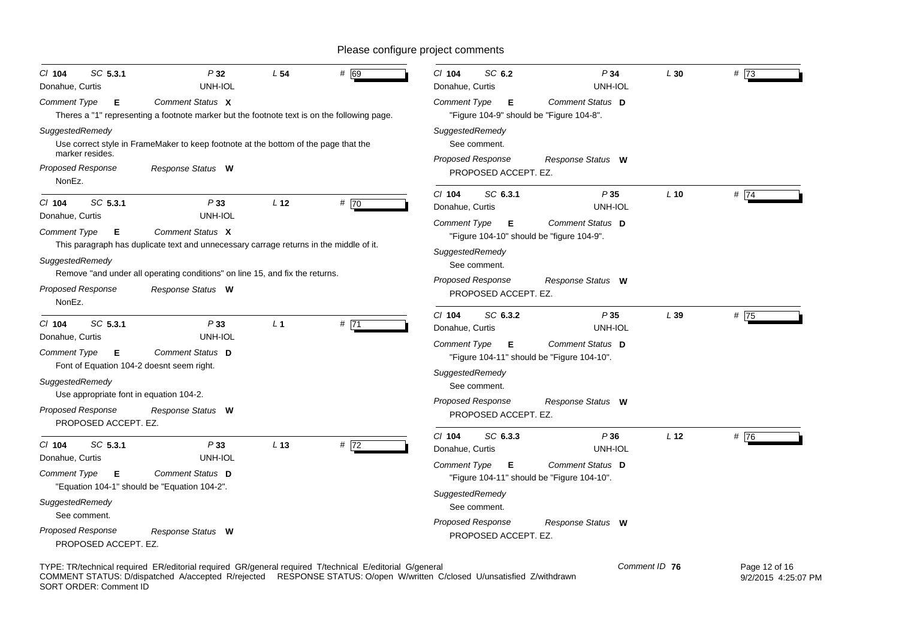| SC 5.3.1<br>$CI$ 104<br>Donahue, Curtis                        | P32<br>UNH-IOL                                                                                                  | L <sub>54</sub> | # 69 | SC 6.2<br>$Cl$ 104<br>Donahue, Curtis                                                                    | P34<br>UNH-IOL    | L30             | # 73 |
|----------------------------------------------------------------|-----------------------------------------------------------------------------------------------------------------|-----------------|------|----------------------------------------------------------------------------------------------------------|-------------------|-----------------|------|
| Comment Type<br>Е                                              | Comment Status X<br>Theres a "1" representing a footnote marker but the footnote text is on the following page. |                 |      | Comment Type<br>Е<br>"Figure 104-9" should be "Figure 104-8".                                            | Comment Status D  |                 |      |
| SuggestedRemedy<br>marker resides.                             | Use correct style in FrameMaker to keep footnote at the bottom of the page that the                             |                 |      | SuggestedRemedy<br>See comment.                                                                          |                   |                 |      |
| Proposed Response<br>NonEz.                                    | Response Status W                                                                                               |                 |      | <b>Proposed Response</b><br>PROPOSED ACCEPT. EZ.                                                         | Response Status W |                 |      |
| SC 5.3.1<br>$Cl$ 104<br>Donahue, Curtis                        | P33<br>UNH-IOL                                                                                                  | L <sub>12</sub> | #70  | SC 6.3.1<br>$CI$ 104<br>Donahue, Curtis                                                                  | P35<br>UNH-IOL    | $L$ 10          | #74  |
| <b>Comment Type</b><br>Е<br>SuggestedRemedy                    | Comment Status X<br>This paragraph has duplicate text and unnecessary carrage returns in the middle of it.      |                 |      | <b>Comment Type</b><br>Е<br>"Figure 104-10" should be "figure 104-9".<br>SuggestedRemedy<br>See comment. | Comment Status D  |                 |      |
| <b>Proposed Response</b><br>NonEz.                             | Remove "and under all operating conditions" on line 15, and fix the returns.<br>Response Status W               |                 |      | Proposed Response<br>PROPOSED ACCEPT. EZ.                                                                | Response Status W |                 |      |
| SC 5.3.1<br>$Cl$ 104<br>Donahue, Curtis                        | P33<br>UNH-IOL                                                                                                  | L <sub>1</sub>  | #71  | $Cl$ 104<br>SC 6.3.2<br>Donahue, Curtis                                                                  | P35<br>UNH-IOL    | L39             | # 75 |
| Comment Type<br>Е<br>Font of Equation 104-2 doesnt seem right. | Comment Status D                                                                                                |                 |      | <b>Comment Type</b><br>Е<br>"Figure 104-11" should be "Figure 104-10".<br>SuggestedRemedy                | Comment Status D  |                 |      |
| SuggestedRemedy<br>Use appropriate font in equation 104-2.     |                                                                                                                 |                 |      | See comment.<br>Proposed Response                                                                        | Response Status W |                 |      |
| Proposed Response<br>PROPOSED ACCEPT. EZ.                      | Response Status W                                                                                               |                 |      | PROPOSED ACCEPT. EZ.                                                                                     |                   |                 |      |
| SC 5.3.1<br>$Cl$ 104<br>Donahue, Curtis                        | P33<br>UNH-IOL                                                                                                  | L <sub>13</sub> | # 72 | $Cl$ 104<br>SC 6.3.3<br>Donahue, Curtis                                                                  | P36<br>UNH-IOL    | L <sub>12</sub> | #76  |
| Comment Type<br>Е                                              | Comment Status D<br>"Equation 104-1" should be "Equation 104-2".                                                |                 |      | <b>Comment Type</b><br>Е<br>"Figure 104-11" should be "Figure 104-10".                                   | Comment Status D  |                 |      |
| SuggestedRemedy<br>See comment.                                |                                                                                                                 |                 |      | SuggestedRemedy<br>See comment.                                                                          |                   |                 |      |
| <b>Proposed Response</b><br>PROPOSED ACCEPT. EZ.               | Response Status W                                                                                               |                 |      | <b>Proposed Response</b><br>PROPOSED ACCEPT. EZ.                                                         | Response Status W |                 |      |

TYPE: TR/technical required ER/editorial required GR/general required T/technical E/editorial G/general COMMENT STATUS: D/dispatched A/accepted R/rejected RESPONSE STATUS: O/open W/written C/closed U/unsatisfied Z/withdrawn SORT ORDER: Comment ID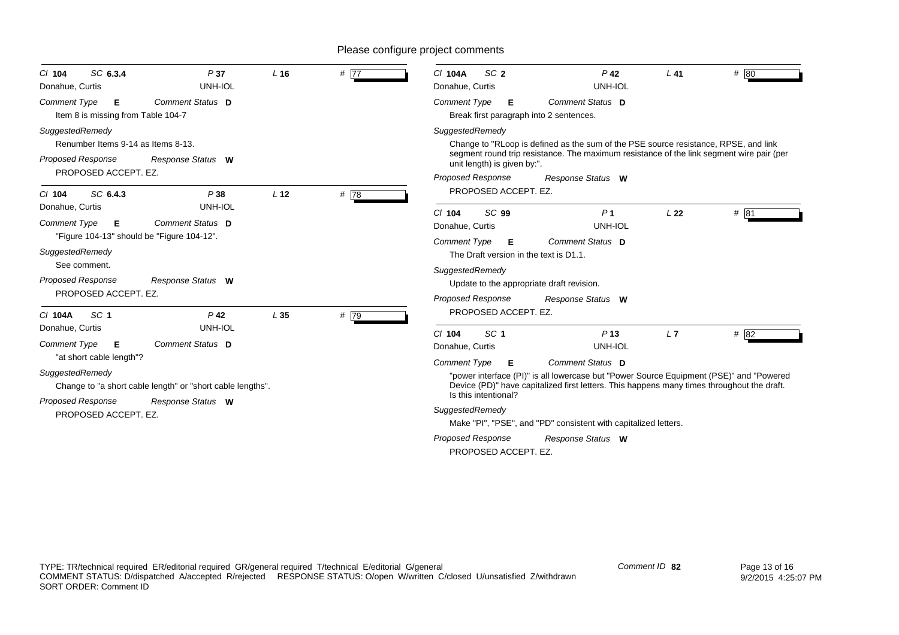| SC 6.3.4<br>$Cl$ 104<br>Donahue, Curtis                                                                                                                       | P37<br>UNH-IOL                        | $L$ 16          | # $\overline{77}$ | SC <sub>2</sub><br>C/ 104A<br>Donahue, Curtis                                                                                                                                                                                                          | $P$ 42<br>UNH-IOL                                                  | $L$ 41          | # 80 |
|---------------------------------------------------------------------------------------------------------------------------------------------------------------|---------------------------------------|-----------------|-------------------|--------------------------------------------------------------------------------------------------------------------------------------------------------------------------------------------------------------------------------------------------------|--------------------------------------------------------------------|-----------------|------|
| <b>Comment Type</b><br>Е<br>Item 8 is missing from Table 104-7                                                                                                | Comment Status D                      |                 |                   | <b>Comment Type</b><br>E.<br>Break first paragraph into 2 sentences.                                                                                                                                                                                   | Comment Status D                                                   |                 |      |
| SuggestedRemedy<br>Renumber Items 9-14 as Items 8-13.<br>Proposed Response<br>PROPOSED ACCEPT. EZ.                                                            | Response Status W                     |                 |                   | SuggestedRemedy<br>Change to "RLoop is defined as the sum of the PSE source resistance, RPSE, and link<br>segment round trip resistance. The maximum resistance of the link segment wire pair (per<br>unit length) is given by:".<br>Proposed Response | Response Status W                                                  |                 |      |
| SC 6.4.3<br>$Cl$ 104<br>Donahue, Curtis                                                                                                                       | P38<br>UNH-IOL                        | L <sub>12</sub> | #78               | PROPOSED ACCEPT. EZ.                                                                                                                                                                                                                                   |                                                                    |                 |      |
| <b>Comment Type</b><br>E<br>"Figure 104-13" should be "Figure 104-12".<br>SuggestedRemedy<br>See comment.<br><b>Proposed Response</b><br>PROPOSED ACCEPT. EZ. | Comment Status D<br>Response Status W |                 |                   | SC <sub>99</sub><br>$Cl$ 104<br>Donahue, Curtis<br><b>Comment Type</b><br>Е<br>The Draft version in the text is D1.1.<br>SuggestedRemedy<br>Update to the appropriate draft revision.<br><b>Proposed Response</b>                                      | P <sub>1</sub><br>UNH-IOL<br>Comment Status D<br>Response Status W | L <sub>22</sub> | # 81 |
| C/ 104A<br>SC <sub>1</sub><br>Donahue, Curtis                                                                                                                 | $P$ 42<br>UNH-IOL                     | L35             | # 79              | PROPOSED ACCEPT. EZ.                                                                                                                                                                                                                                   |                                                                    |                 |      |
| Comment Type<br>E<br>"at short cable length"?                                                                                                                 | Comment Status D                      |                 |                   | SC <sub>1</sub><br>$Cl$ 104<br>Donahue, Curtis                                                                                                                                                                                                         | P <sub>13</sub><br>UNH-IOL                                         | L7              | # 82 |
| SuggestedRemedy<br>Change to "a short cable length" or "short cable lengths".                                                                                 |                                       |                 |                   | Comment Status D<br>Comment Type<br>Е<br>"power interface (PI)" is all lowercase but "Power Source Equipment (PSE)" and "Powered<br>Device (PD)" have capitalized first letters. This happens many times throughout the draft.<br>Is this intentional? |                                                                    |                 |      |
| <b>Proposed Response</b><br>PROPOSED ACCEPT. EZ.                                                                                                              | Response Status W                     |                 |                   | SuggestedRemedy<br>Make "PI", "PSE", and "PD" consistent with capitalized letters.                                                                                                                                                                     |                                                                    |                 |      |
|                                                                                                                                                               |                                       |                 |                   | <b>Proposed Response</b><br>PROPOSED ACCEPT. EZ.                                                                                                                                                                                                       | Response Status W                                                  |                 |      |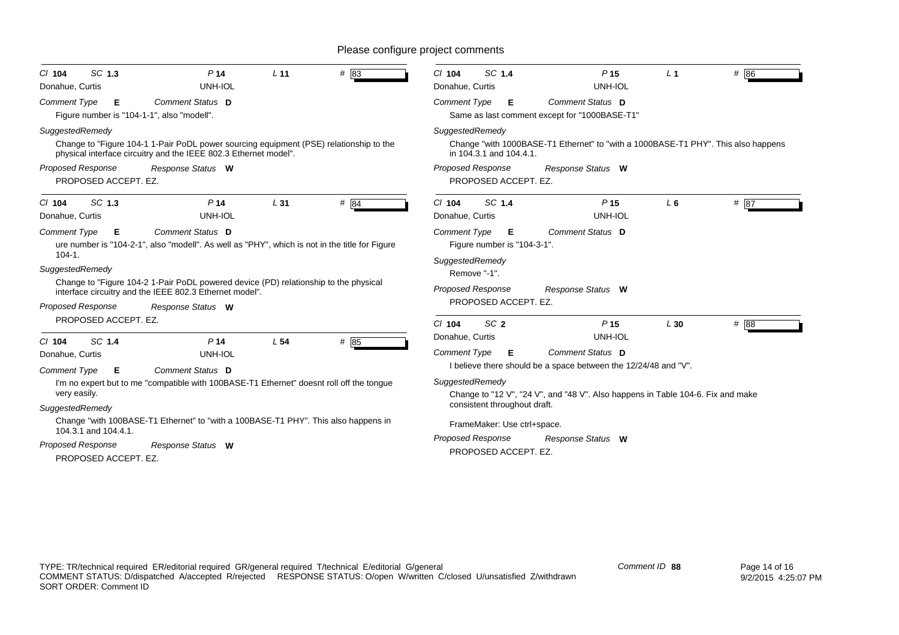| SC 1.3                                                                                                                                                                                                                                                                                                                                                                                                                                                                              | SC 1.4                                                                                                                                                                                                                                                                                                                                                                                                                                                       |
|-------------------------------------------------------------------------------------------------------------------------------------------------------------------------------------------------------------------------------------------------------------------------------------------------------------------------------------------------------------------------------------------------------------------------------------------------------------------------------------|--------------------------------------------------------------------------------------------------------------------------------------------------------------------------------------------------------------------------------------------------------------------------------------------------------------------------------------------------------------------------------------------------------------------------------------------------------------|
| # 83                                                                                                                                                                                                                                                                                                                                                                                                                                                                                | $Cl$ 104                                                                                                                                                                                                                                                                                                                                                                                                                                                     |
| P <sub>14</sub>                                                                                                                                                                                                                                                                                                                                                                                                                                                                     | P <sub>15</sub>                                                                                                                                                                                                                                                                                                                                                                                                                                              |
| L <sub>11</sub>                                                                                                                                                                                                                                                                                                                                                                                                                                                                     | # 86                                                                                                                                                                                                                                                                                                                                                                                                                                                         |
| $Cl$ 104                                                                                                                                                                                                                                                                                                                                                                                                                                                                            | $L_1$                                                                                                                                                                                                                                                                                                                                                                                                                                                        |
| <b>UNH-IOL</b>                                                                                                                                                                                                                                                                                                                                                                                                                                                                      | UNH-IOL                                                                                                                                                                                                                                                                                                                                                                                                                                                      |
| Donahue, Curtis                                                                                                                                                                                                                                                                                                                                                                                                                                                                     | Donahue, Curtis                                                                                                                                                                                                                                                                                                                                                                                                                                              |
| Comment Status D                                                                                                                                                                                                                                                                                                                                                                                                                                                                    | <b>Comment Type</b>                                                                                                                                                                                                                                                                                                                                                                                                                                          |
| <b>Comment Type</b>                                                                                                                                                                                                                                                                                                                                                                                                                                                                 | Comment Status D                                                                                                                                                                                                                                                                                                                                                                                                                                             |
| Е                                                                                                                                                                                                                                                                                                                                                                                                                                                                                   | E                                                                                                                                                                                                                                                                                                                                                                                                                                                            |
| Figure number is "104-1-1", also "modell".                                                                                                                                                                                                                                                                                                                                                                                                                                          | Same as last comment except for "1000BASE-T1"                                                                                                                                                                                                                                                                                                                                                                                                                |
| SuggestedRemedy                                                                                                                                                                                                                                                                                                                                                                                                                                                                     | SuggestedRemedy                                                                                                                                                                                                                                                                                                                                                                                                                                              |
| Change to "Figure 104-1 1-Pair PoDL power sourcing equipment (PSE) relationship to the                                                                                                                                                                                                                                                                                                                                                                                              | Change "with 1000BASE-T1 Ethernet" to "with a 1000BASE-T1 PHY". This also happens                                                                                                                                                                                                                                                                                                                                                                            |
| physical interface circuitry and the IEEE 802.3 Ethernet model".                                                                                                                                                                                                                                                                                                                                                                                                                    | in 104.3.1 and 104.4.1.                                                                                                                                                                                                                                                                                                                                                                                                                                      |
| <b>Proposed Response</b>                                                                                                                                                                                                                                                                                                                                                                                                                                                            | <b>Proposed Response</b>                                                                                                                                                                                                                                                                                                                                                                                                                                     |
| Response Status W                                                                                                                                                                                                                                                                                                                                                                                                                                                                   | Response Status W                                                                                                                                                                                                                                                                                                                                                                                                                                            |
| PROPOSED ACCEPT. EZ.                                                                                                                                                                                                                                                                                                                                                                                                                                                                | PROPOSED ACCEPT. EZ.                                                                                                                                                                                                                                                                                                                                                                                                                                         |
| SC 1.3                                                                                                                                                                                                                                                                                                                                                                                                                                                                              | SC 1.4                                                                                                                                                                                                                                                                                                                                                                                                                                                       |
| #84                                                                                                                                                                                                                                                                                                                                                                                                                                                                                 | # $\overline{87}$                                                                                                                                                                                                                                                                                                                                                                                                                                            |
| P <sub>14</sub>                                                                                                                                                                                                                                                                                                                                                                                                                                                                     | $Cl$ 104                                                                                                                                                                                                                                                                                                                                                                                                                                                     |
| L31                                                                                                                                                                                                                                                                                                                                                                                                                                                                                 | P <sub>15</sub>                                                                                                                                                                                                                                                                                                                                                                                                                                              |
| $Cl$ 104                                                                                                                                                                                                                                                                                                                                                                                                                                                                            | $L_6$                                                                                                                                                                                                                                                                                                                                                                                                                                                        |
| UNH-IOL                                                                                                                                                                                                                                                                                                                                                                                                                                                                             | UNH-IOL                                                                                                                                                                                                                                                                                                                                                                                                                                                      |
| Donahue, Curtis                                                                                                                                                                                                                                                                                                                                                                                                                                                                     | Donahue, Curtis                                                                                                                                                                                                                                                                                                                                                                                                                                              |
| Comment Status D<br><b>Comment Type</b><br>E<br>ure number is "104-2-1", also "modell". As well as "PHY", which is not in the title for Figure<br>$104 - 1.$<br>SuggestedRemedy<br>Change to "Figure 104-2 1-Pair PoDL powered device (PD) relationship to the physical<br>interface circuitry and the IEEE 802.3 Ethernet model".<br><b>Proposed Response</b><br>Response Status W                                                                                                 | Comment Status D<br><b>Comment Type</b><br>Е<br>Figure number is "104-3-1".<br>SuggestedRemedy<br>Remove "-1".<br>Proposed Response<br>Response Status W<br>PROPOSED ACCEPT. EZ.                                                                                                                                                                                                                                                                             |
| PROPOSED ACCEPT. EZ.<br># 85<br>SC 1.4<br>P <sub>14</sub><br>L <sub>54</sub><br>C/ 104<br>Donahue, Curtis<br>UNH-IOL<br>Comment Status D<br><b>Comment Type</b><br>Е<br>I'm no expert but to me "compatible with 100BASE-T1 Ethernet" doesnt roll off the tongue<br>very easily.<br>SuggestedRemedy<br>Change "with 100BASE-T1 Ethernet" to "with a 100BASE-T1 PHY". This also happens in<br>104.3.1 and 104.4.1.<br>Proposed Response<br>Response Status W<br>PROPOSED ACCEPT. EZ. | SC <sub>2</sub><br># 88<br>P <sub>15</sub><br>$Cl$ 104<br>L30<br>UNH-IOL<br>Donahue, Curtis<br>Comment Status D<br><b>Comment Type</b><br>Е<br>I believe there should be a space between the 12/24/48 and "V".<br>SuggestedRemedy<br>Change to "12 V", "24 V", and "48 V". Also happens in Table 104-6. Fix and make<br>consistent throughout draft.<br>FrameMaker: Use ctrl+space.<br><b>Proposed Response</b><br>Response Status W<br>PROPOSED ACCEPT. EZ. |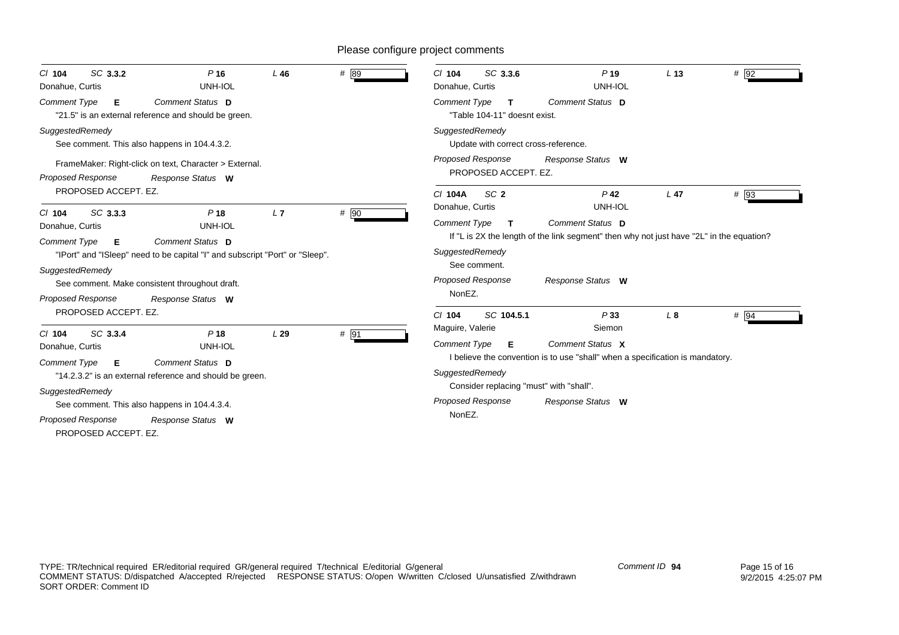| SC 3.3.2<br>$CI$ 104<br>Donahue, Curtis                             | $P$ 16<br>UNH-IOL                                                                                                              | $L$ 46 | # 89 | SC 3.3.6<br>$Cl$ 104<br>Donahue, Curtis                      | P <sub>19</sub><br>UNH-IOL                                                                                   | L <sub>13</sub> | # 92 |
|---------------------------------------------------------------------|--------------------------------------------------------------------------------------------------------------------------------|--------|------|--------------------------------------------------------------|--------------------------------------------------------------------------------------------------------------|-----------------|------|
| <b>Comment Type</b><br>Е                                            | Comment Status D<br>"21.5" is an external reference and should be green.                                                       |        |      | <b>Comment Type</b><br>T<br>"Table 104-11" doesnt exist.     | Comment Status D                                                                                             |                 |      |
| SuggestedRemedy                                                     | See comment. This also happens in 104.4.3.2.                                                                                   |        |      | SuggestedRemedy<br>Update with correct cross-reference.      |                                                                                                              |                 |      |
| <b>Proposed Response</b>                                            | FrameMaker: Right-click on text, Character > External.<br>Response Status W                                                    |        |      | <b>Proposed Response</b><br>PROPOSED ACCEPT. EZ.             | Response Status W                                                                                            |                 |      |
| PROPOSED ACCEPT. EZ.                                                |                                                                                                                                |        |      | SC <sub>2</sub><br>C/ 104A<br>Donahue, Curtis                | $P$ 42<br>UNH-IOL                                                                                            | L <sub>47</sub> | # 93 |
| SC 3.3.3<br>$Cl$ 104<br>Donahue, Curtis<br><b>Comment Type</b><br>Е | P <sub>18</sub><br>UNH-IOL<br>Comment Status D                                                                                 | L7     | # 90 | <b>Comment Type</b><br>T.                                    | Comment Status D<br>If "L is 2X the length of the link segment" then why not just have "2L" in the equation? |                 |      |
| SuggestedRemedy                                                     | "IPort" and "ISleep" need to be capital "I" and subscript "Port" or "Sleep".<br>See comment. Make consistent throughout draft. |        |      | SuggestedRemedy<br>See comment.<br><b>Proposed Response</b>  | Response Status W                                                                                            |                 |      |
| <b>Proposed Response</b><br>PROPOSED ACCEPT. EZ.                    | Response Status W                                                                                                              |        |      | NonEZ.<br>$Cl$ 104<br>SC 104.5.1                             | P33                                                                                                          | L <sub>8</sub>  | # 94 |
| SC 3.3.4<br>$CI$ 104                                                | P <sub>18</sub>                                                                                                                | L29    | # 91 | Maguire, Valerie                                             | Siemon                                                                                                       |                 |      |
| Donahue, Curtis                                                     | UNH-IOL                                                                                                                        |        |      | <b>Comment Type</b><br>Е                                     | Comment Status X<br>I believe the convention is to use "shall" when a specification is mandatory.            |                 |      |
| <b>Comment Type</b><br>Е                                            | Comment Status D<br>"14.2.3.2" is an external reference and should be green.                                                   |        |      | SuggestedRemedy                                              |                                                                                                              |                 |      |
| SuggestedRemedy                                                     | See comment. This also happens in 104.4.3.4.                                                                                   |        |      | Consider replacing "must" with "shall".<br>Proposed Response | Response Status W                                                                                            |                 |      |
| Proposed Response<br>PROPOSED ACCEPT. EZ.                           | Response Status W                                                                                                              |        |      | NonEZ.                                                       |                                                                                                              |                 |      |